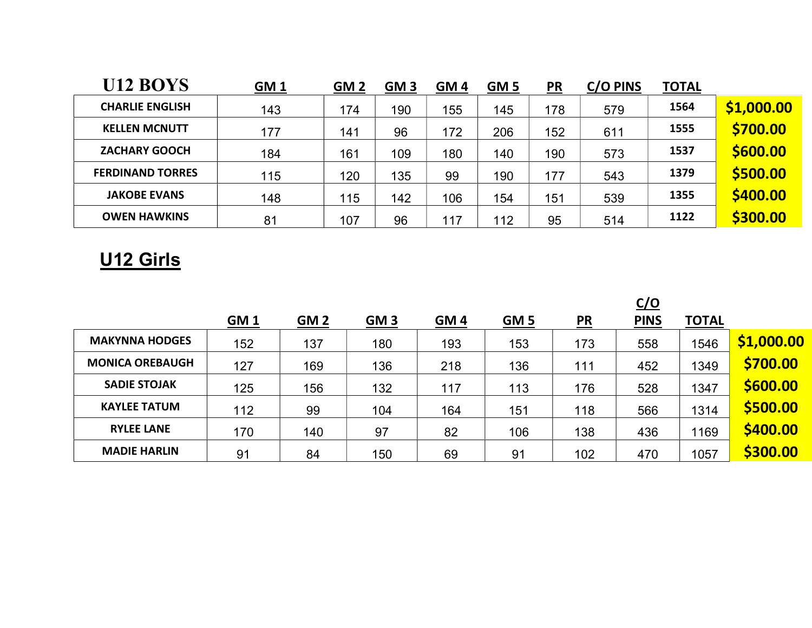| U12 BOYS                | <b>GM1</b> | GM <sub>2</sub> | GM <sub>3</sub> | GM <sub>4</sub> | GM <sub>5</sub> | $P_{R}$ | C/O PINS | <b>TOTAL</b> |            |
|-------------------------|------------|-----------------|-----------------|-----------------|-----------------|---------|----------|--------------|------------|
| <b>CHARLIE ENGLISH</b>  | 143        | 174             | 190             | 155             | 145             | 178     | 579      | 1564         | \$1,000.00 |
| <b>KELLEN MCNUTT</b>    | 177        | 141             | 96              | 172             | 206             | 152     | 611      | 1555         | \$700.00   |
| <b>ZACHARY GOOCH</b>    | 184        | 161             | 109             | 180             | 140             | 190     | 573      | 1537         | \$600.00   |
| <b>FERDINAND TORRES</b> | 115        | 120             | 135             | 99              | 190             | 177     | 543      | 1379         | \$500.00   |
| <b>JAKOBE EVANS</b>     | 148        | 115             | 142             | 106             | 154             | 151     | 539      | 1355         | \$400.00   |
| <b>OWEN HAWKINS</b>     | 81         | 107             | 96              | 117             | 112             | 95      | 514      | 1122         | \$300.00   |

## U12 Girls

|                        |            |            |            |            |             |         | <u>C/O</u>  |              |            |
|------------------------|------------|------------|------------|------------|-------------|---------|-------------|--------------|------------|
|                        | <u>GM1</u> | <b>GM2</b> | <b>GM3</b> | <b>GM4</b> | <u>GM 5</u> | $P_{R}$ | <b>PINS</b> | <b>TOTAL</b> |            |
| <b>MAKYNNA HODGES</b>  | 152        | 137        | 180        | 193        | 153         | 173     | 558         | 1546         | \$1,000.00 |
| <b>MONICA OREBAUGH</b> | 127        | 169        | 136        | 218        | 136         | 111     | 452         | 1349         | \$700.00   |
| <b>SADIE STOJAK</b>    | 125        | 156        | 132        | 117        | 113         | 176     | 528         | 1347         | \$600.00   |
| <b>KAYLEE TATUM</b>    | 112        | 99         | 104        | 164        | 151         | 118     | 566         | 1314         | \$500.00   |
| <b>RYLEE LANE</b>      | 170        | 140        | 97         | 82         | 106         | 138     | 436         | 1169         | \$400.00   |
| <b>MADIE HARLIN</b>    | 91         | 84         | 150        | 69         | 91          | 102     | 470         | 1057         | \$300.00   |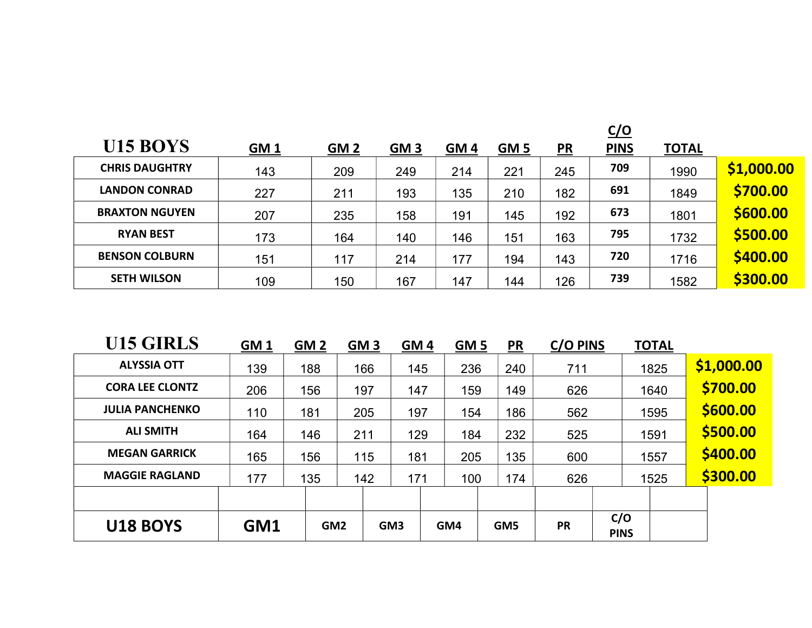|                       |            |            |            |                 |                 |               | <u>C/O</u>  |              |            |
|-----------------------|------------|------------|------------|-----------------|-----------------|---------------|-------------|--------------|------------|
| U15 BOYS              | <u>GM1</u> | <b>GM2</b> | <b>GM3</b> | GM <sub>4</sub> | GM <sub>5</sub> | $\mathbf{PR}$ | <b>PINS</b> | <b>TOTAL</b> |            |
| <b>CHRIS DAUGHTRY</b> | 143        | 209        | 249        | 214             | 221             | 245           | 709         | 1990         | \$1,000.00 |
| <b>LANDON CONRAD</b>  | 227        | 211        | 193        | 135             | 210             | 182           | 691         | 1849         | \$700.00   |
| <b>BRAXTON NGUYEN</b> | 207        | 235        | 158        | 191             | 145             | 192           | 673         | 1801         | \$600.00   |
| <b>RYAN BEST</b>      | 173        | 164        | 140        | 146             | 151             | 163           | 795         | 1732         | \$500.00   |
| <b>BENSON COLBURN</b> | 151        | 117        | 214        | 177             | 194             | 143           | 720         | 1716         | \$400.00   |
| <b>SETH WILSON</b>    | 109        | 150        | 167        | 147             | 144             | 126           | 739         | 1582         | \$300.00   |

| U15 GIRLS              | GM <sub>1</sub> | GM <sub>2</sub> | GM <sub>3</sub> |                 | GM <sub>4</sub> | GM <sub>5</sub> | <b>PR</b> | C/O PINS  |                    | <b>TOTAL</b> |            |
|------------------------|-----------------|-----------------|-----------------|-----------------|-----------------|-----------------|-----------|-----------|--------------------|--------------|------------|
| <b>ALYSSIA OTT</b>     | 139             | 188             | 166             |                 | 145             | 236             | 240       | 711       |                    | 1825         | \$1,000.00 |
| <b>CORA LEE CLONTZ</b> | 206             | 156             | 197             |                 | 147             | 159             | 149       | 626       |                    | 1640         | \$700.00   |
| <b>JULIA PANCHENKO</b> | 110             | 181             | 205             |                 | 197             | 154             | 186       | 562       |                    | 1595         | \$600.00   |
| <b>ALI SMITH</b>       | 164             | 146             | 211             |                 | 129             | 184             | 232       | 525       |                    | 1591         | \$500.00   |
| <b>MEGAN GARRICK</b>   | 165             | 156             | 115             |                 | 181             | 205             | 135       | 600       |                    | 1557         | \$400.00   |
| <b>MAGGIE RAGLAND</b>  | 177             | 135             | 142             |                 | 171             | 100             | 174       | 626       |                    | 1525         | \$300.00   |
|                        |                 |                 |                 |                 |                 |                 |           |           |                    |              |            |
| <b>U18 BOYS</b>        | GM1             | GM <sub>2</sub> |                 | GM <sub>3</sub> |                 | GM4             | GM5       | <b>PR</b> | C/O<br><b>PINS</b> |              |            |